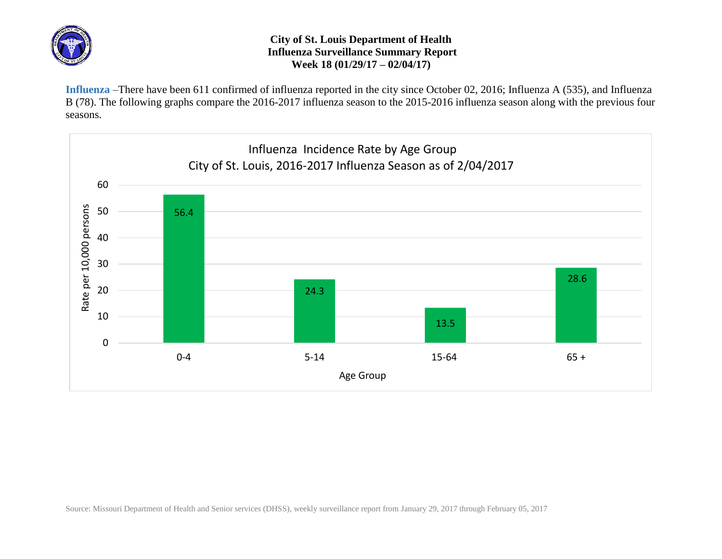

## **City of St. Louis Department of Health Influenza Surveillance Summary Report Week 18 (01/29/17 – 02/04/17)**

**Influenza** –There have been 611 confirmed of influenza reported in the city since October 02, 2016; Influenza A (535), and Influenza B (78). The following graphs compare the 2016-2017 influenza season to the 2015-2016 influenza season along with the previous four seasons.